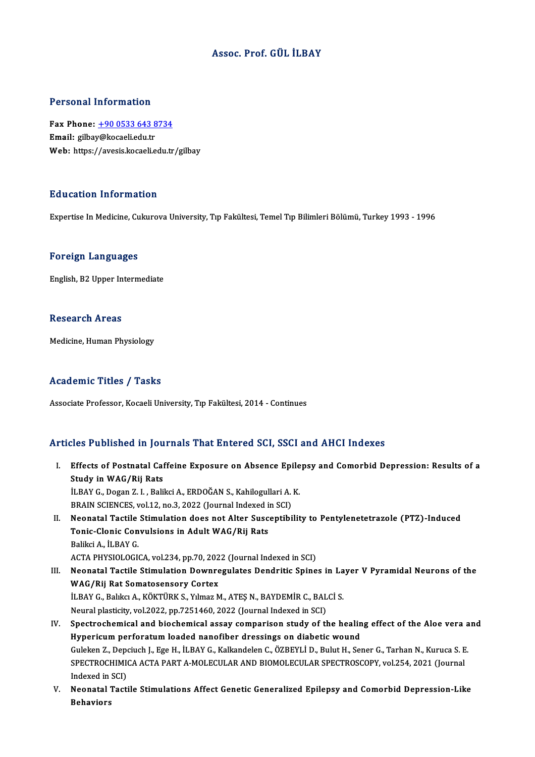## Assoc. Prof. GÜL İLBAY

#### Personal Information

Personal Information<br>Fax Phone: <u>+90 0533 643 8734</u><br>Email: gilbay@kacasliedu.tr Feax Phone: <u>+90 0533 643 8</u><br>Email: gilba[y@kocaeli.edu.tr](tel:+90 0533 643 8734)<br>Web: https://avesis.kocaeli.edu Email: gilbay@kocaeli.edu.tr<br>Web: https://avesis.kocaeli.edu.tr/gilbay

### Education Information

Expertise In Medicine, Cukurova University, Tıp Fakültesi, Temel Tıp Bilimleri Bölümü, Turkey 1993 - 1996

#### Foreign Languages

English, B2 Upper Intermediate

#### **Research Areas**

Medicine, Human Physiology

## Academic Titles / Tasks

Associate Professor, Kocaeli University, Tıp Fakültesi, 2014 - Continues

### Articles Published in Journals That Entered SCI, SSCI and AHCI Indexes

rticles Published in Journals That Entered SCI, SSCI and AHCI Indexes<br>I. Effects of Postnatal Caffeine Exposure on Absence Epilepsy and Comorbid Depression: Results of a<br>Study in WAC (Bij Bote Study in Wagnese in Journal<br>Study in WAG/Rij Rats<br>URAV C. Desen 7, L. Beli Effects of Postnatal Caffeine Exposure on Absence Epile<br>Study in WAG/Rij Rats<br>İLBAY G., Dogan Z. I. , Balikci A., ERDOĞAN S., Kahilogullari A. K.<br>PRAIN SCIENCES vol.12, no.2, 2022 (Journal Indoved in SCI) Study in WAG/Rij Rats<br>İLBAY G., Dogan Z. I. , Balikci A., ERDOĞAN S., Kahilogullari A.<br>BRAIN SCIENCES, vol.12, no.3, 2022 (Journal Indexed in SCI)<br>Neonatal Testile Stimulation does not Alter Sussentibi ILBAY G., Dogan Z. I. , Balikci A., ERDOĞAN S., Kahilogullari A. K.<br>BRAIN SCIENCES, vol.12, no.3, 2022 (Journal Indexed in SCI)<br>II. Neonatal Tactile Stimulation does not Alter Susceptibility to Pentylenetetrazole (PTZ)-Ind BRAIN SCIENCES, vol.12, no.3, 2022 (Journal Indexed in<br>Neonatal Tactile Stimulation does not Alter Susc<br>Tonic-Clonic Convulsions in Adult WAG/Rij Rats<br>Paliksi A. it PAY C **Neonatal Tactile<br>Tonic-Clonic Con<br>Balikci A., İLBAY G.<br>ACTA PHYSIOLOCIL** Tonic-Clonic Convulsions in Adult WAG/Rij Rats<br>Balikci A., İLBAY G.<br>ACTA PHYSIOLOGICA, vol.234, pp.70, 2022 (Journal Indexed in SCI) Balikci A., İLBAY G.<br>ACTA PHYSIOLOGICA, vol.234, pp.70, 2022 (Journal Indexed in SCI)<br>III. Neonatal Tactile Stimulation Downregulates Dendritic Spines in Layer V Pyramidal Neurons of the<br>WAC (Bij Bet Sematesensery Cert WAG/Rij Rat Somatosensory Cortex Neonatal Tactile Stimulation Downregulates Dendritic Spines in La<br>WAG/Rij Rat Somatosensory Cortex<br>İLBAY G., Balıkcı A., KÖKTÜRK S., Yılmaz M., ATEŞ N., BAYDEMİR C., BALCİ S.<br>Naural plastisiy, val 2022 pp 7251460, 2022 (Ja İLBAY G., Balıkcı A., KÖKTÜRK S., Yılmaz M., ATEŞ N., BAYDEMİR C., BALCİ S.<br>Neural plasticity, vol.2022, pp.7251460, 2022 (Journal Indexed in SCI) ILBAY G., Balıkcı A., KÖKTÜRK S., Yılmaz M., ATEŞ N., BAYDEMİR C., BALCİ S.<br>Neural plasticity, vol.2022, pp.7251460, 2022 (Journal Indexed in SCI)<br>IV. Spectrochemical and biochemical assay comparison study of the healing e Neural plasticity, vol.2022, pp.7251460, 2022 (Journal Indexed in SCI)<br>Spectrochemical and biochemical assay comparison study of the healin<br>Hypericum perforatum loaded nanofiber dressings on diabetic wound<br>Culakan Z. Dengu Spectrochemical and biochemical assay comparison study of the healing effect of the Aloe vera a<br>Hypericum perforatum loaded nanofiber dressings on diabetic wound<br>Guleken Z., Depciuch J., Ege H., İLBAY G., Kalkandelen C., Ö

Hypericum perforatum loaded nanofiber dressings on diabetic wound<br>Guleken Z., Depciuch J., Ege H., İLBAY G., Kalkandelen C., ÖZBEYLİ D., Bulut H., Sener G., Tarhan N., Kuruca S. E<br>SPECTROCHIMICA ACTA PART A-MOLECULAR AND B Guleken Z., Depe<br>SPECTROCHIMI<br>Indexed in SCI)<br>Neonatel Testi SPECTROCHIMICA ACTA PART A-MOLECULAR AND BIOMOLECULAR SPECTROSCOPY, vol.254, 2021 (Journal<br>Indexed in SCI)<br>V. Neonatal Tactile Stimulations Affect Genetic Generalized Epilepsy and Comorbid Depression-Like<br>Pehaviors

Indexed in SCI)<br>V. Neonatal Tactile Stimulations Affect Genetic Generalized Epilepsy and Comorbid Depression-Like<br>Behaviors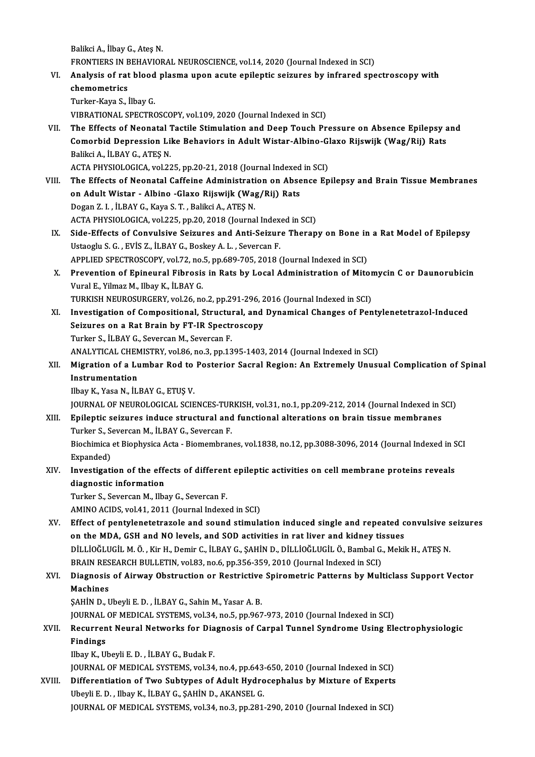BalikciA., İlbayG.,AteşN. Balikci A., İlbay G., Ateş N.<br>FRONTIERS IN BEHAVIORAL NEUROSCIENCE, vol.14, 2020 (Journal Indexed in SCI)<br>Analysis of nat blood plasma unan aqute opilantis seizunes by infranad and VI. Analysis of rat blood plasma upon acute epileptic seizures by infrared spectroscopy with FRONTIERS IN E<br>Analysis of rat<br>chemometrics<br>Turker Kave S Turker-Kaya S., İlbayG. VIBRATIONAL SPECTROSCOPY, vol.109, 2020 (Journal Indexed in SCI) Turker-Kaya S., İlbay G.<br>VIBRATIONAL SPECTROSCOPY, vol.109, 2020 (Journal Indexed in SCI)<br>VII. The Effects of Neonatal Tactile Stimulation and Deep Touch Pressure on Absence Epilepsy and<br>Comorbid Donression Like Pehavi VIBRATIONAL SPECTROSCOPY, vol.109, 2020 (Journal Indexed in SCI)<br>The Effects of Neonatal Tactile Stimulation and Deep Touch Pressure on Absence Epilepsy a<br>Comorbid Depression Like Behaviors in Adult Wistar-Albino-Glaxo Rij The Effects of Neonatal 1<br>Comorbid Depression Li<br>Balikci A., İLBAY G., ATEŞ N.<br>ACTA PHYSIOLOCICA vol 23 Comorbid Depression Like Behaviors in Adult Wistar-Albino-Glaxo Rijswijk (Wag/Rij) Rats<br>Balikci A., İLBAY G., ATEŞ N.<br>ACTA PHYSIOLOGICA, vol.225, pp.20-21, 2018 (Journal Indexed in SCI) Balikci A., İLBAY G., ATEŞ N.<br>ACTA PHYSIOLOGICA, vol.225, pp.20-21, 2018 (Journal Indexed in SCI)<br>VIII. The Effects of Neonatal Caffeine Administration on Absence Epilepsy and Brain Tissue Membranes<br>20 Adult Wistor ACTA PHYSIOLOGICA, vol.225, pp.20-21, 2018 (Journal Indexed<br>The Effects of Neonatal Caffeine Administration on Abse<br>on Adult Wistar - Albino -Glaxo Rijswijk (Wag/Rij) Rats<br>Dogan 7, L. il PAY C. Kove S.T., Poliksi A. ATES N The Effects of Neonatal Caffeine Administration<br>Adult Wistar - Albino -Glaxo Rijswijk (Wa<sub>i</sub><br>Dogan Z. I. , İLBAY G., Kaya S. T. , Balikci A., ATEŞ N.<br>ACTA PHYSIQI QCICA val 225. np.20.2018 (Journa on Adult Wistar - Albino -Glaxo Rijswijk (Wag/Rij) Rats<br>Dogan Z. I. , İLBAY G., Kaya S. T. , Balikci A., ATEŞ N.<br>ACTA PHYSIOLOGICA, vol.225, pp.20, 2018 (Journal Indexed in SCI)<br>Side Effects of Convulsive Seigures and Anti Dogan Z. I. , İLBAY G., Kaya S. T. , Balikci A., ATEŞ N.<br>ACTA PHYSIOLOGICA, vol.225, pp.20, 2018 (Journal Indexed in SCI)<br>IX. Side-Effects of Convulsive Seizures and Anti-Seizure Therapy on Bone in a Rat Model of Epilepsy<br> ACTA PHYSIOLOGICA, vol.225, pp.20, 2018 (Journal Index<br>Side-Effects of Convulsive Seizures and Anti-Seizur<br>Ustaoglu S. G. , EVİS Z., İLBAY G., Boskey A. L. , Severcan F.<br>APRLIED SPECTROSCOPY, vol.72, ne 5, np.699, 705, 201 Side-Effects of Convulsive Seizures and Anti-Seizure Therapy on Bone in<br>Ustaoglu S. G. , EVİS Z., İLBAY G., Boskey A. L. , Severcan F.<br>APPLIED SPECTROSCOPY, vol.72, no.5, pp.689-705, 2018 (Journal Indexed in SCI)<br>Preventio Ustaoglu S. G. , EVİS Z., İLBAY G., Boskey A. L. , Severcan F.<br>APPLIED SPECTROSCOPY, vol.72, no.5, pp.689-705, 2018 (Journal Indexed in SCI)<br>X. Prevention of Epineural Fibrosis in Rats by Local Administration of Mitomycin APPLIED SPECTROSCOPY, vol.72, no.<br>Prevention of Epineural Fibrosis<br>Vural E., Yilmaz M., Ilbay K., İLBAY G.<br>TURKEN NEUROSURCERY vol.26, no Prevention of Epineural Fibrosis in Rats by Local Administration of Mitor<br>Vural E., Yilmaz M., Ilbay K., İLBAY G.<br>TURKISH NEUROSURGERY, vol.26, no.2, pp.291-296, 2016 (Journal Indexed in SCI)<br>Investigation of Compositional Vural E., Yilmaz M., Ilbay K., İLBAY G.<br>TURKISH NEUROSURGERY, vol.26, no.2, pp.291-296, 2016 (Journal Indexed in SCI)<br>XI. Investigation of Compositional, Structural, and Dynamical Changes of Pentylenetetrazol-Induced<br>Seizu TURKISH NEUROSURGERY, vol.26, no.2, pp.291-296, 2016 (Journal Indexed in SCI) Turker S., İLBAY G., Severcan M., Severcan F. Seizures on a Rat Brain by FT-IR Spectroscopy<br>Turker S., İLBAY G., Severcan M., Severcan F.<br>ANALYTICAL CHEMISTRY, vol.86, no.3, pp.1395-1403, 2014 (Journal Indexed in SCI)<br>Migration of a Lumbar Bod to Bostoriar Sagral Bogi Turker S., İLBAY G., Severcan M., Severcan F.<br>ANALYTICAL CHEMISTRY, vol.86, no.3, pp.1395-1403, 2014 (Journal Indexed in SCI)<br>XII. Migration of a Lumbar Rod to Posterior Sacral Region: An Extremely Unusual Complication ANALYTICAL CHEM<br>Migration of a Lu<br>Instrumentation<br><sup>Ilhov K.</sup> Yasa N. <sup>it I</sup> Migration of a Lumbar Rod to<br>Instrumentation<br>Ilbay K., Yasa N., İLBAY G., ETUŞ V.<br>IQUPNAL OF NEUPOLOCICAL SCIE Instrumentation<br>Ilbay K., Yasa N., İLBAY G., ETUŞ V.<br>JOURNAL OF NEUROLOGICAL SCIENCES-TURKISH, vol.31, no.1, pp.209-212, 2014 (Journal Indexed in SCI) Ilbay K., Yasa N., İLBAY G., ETUŞ V.<br>JOURNAL OF NEUROLOGICAL SCIENCES-TURKISH, vol.31, no.1, pp.209-212, 2014 (Journal Indexed in S. Epileptic seizures induce structural and functional alterations on brain tissue membranes TURNAL OF NEUROLOGICAL SCIENCES-TUR<br>Epileptic seizures induce structural and<br>Turker S., Severcan M., İLBAY G., Severcan F.<br>Bioshimisa et Bionhysisa Asta , Biomamhnan Epileptic seizures induce structural and functional alterations on brain tissue membranes<br>Turker S., Severcan M., İLBAY G., Severcan F.<br>Biochimica et Biophysica Acta - Biomembranes, vol.1838, no.12, pp.3088-3096, 2014 (Jou Turker S., Severcan M., İLBAY G., Severcan F.<br>Biochimica et Biophysica Acta - Biomembranes, vol.1838, no.12, pp.3088-3096, 2014 (Journal Indexed in SCI<br>Expanded) Biochimica et Biophysica Acta - Biomembranes, vol.1838, no.12, pp.3088-3096, 2014 (Journal Indexed in S<br>Expanded)<br>XIV. Investigation of the effects of different epileptic activities on cell membrane proteins reveals<br>diagno Expanded)<br>Investigation of the effe<br>diagnostic information<br>Turker S. Seversen M. <sup>Ube</sup> Investigation of the effects of differen<br>diagnostic information<br>Turker S., Severcan M., Ilbay G., Severcan F.<br>AMINO ACIDS vol 41, 2011 (Journal Indove diagnostic information<br>Turker S., Severcan M., Ilbay G., Severcan F.<br>AMINO ACIDS, vol.41, 2011 (Journal Indexed in SCI) XV. Effect of pentylenetetrazole and sound stimulation induced single and repeated convulsive seizures AMINO ACIDS, vol.41, 2011 (Journal Indexed in SCI)<br>Effect of pentylenetetrazole and sound stimulation induced single and repeated c<br>on the MDA, GSH and NO levels, and SOD activities in rat liver and kidney tissues<br>pit LiQČ DİLLİOĞLUGİL M. Ö. , Kir H., Demir C., İLBAY G., ŞAHİN D., DİLLİOĞLUGİL Ö., Bambal G., Mekik H., ATEŞ N.<br>BRAIN RESEARCH BULLETIN, vol.83, no.6, pp.356-359, 2010 (Journal Indexed in SCI) on the MDA, GSH and NO levels, and SOD activities in rat liver and kidney tis<br>DİLLİOĞLUGİL M. Ö., Kir H., Demir C., İLBAY G., ŞAHİN D., DİLLİOĞLUGİL Ö., Bambal G.<br>BRAIN RESEARCH BULLETIN, vol.83, no.6, pp.356-359, 2010 (Jo DİLLİOĞLUGİL M. Ö. , Kir H., Demir C., İLBAY G., ŞAHİN D., DİLLİOĞLUGİL Ö., Bambal G., Mekik H., ATEŞ N.<br>BRAIN RESEARCH BULLETIN, vol.83, no.6, pp.356-359, 2010 (Journal Indexed in SCI)<br>XVI. Diagnosis of Airway Obstruc **BRAIN RES<br>Diagnosis<br>Machines<br>SAHIN D. L** Diagnosis of Airway Obstruction or Restrictive<br>Machines<br>ŞAHİN D., Ubeyli E. D. , İLBAY G., Sahin M., Yasar A. B.<br>JOUPNAL OE MEDICAL SYSTEMS .val 34. nə 5. np 967 Machines<br>ŞAHİN D., Ubeyli E. D. , İLBAY G., Sahin M., Yasar A. B.<br>JOURNAL OF MEDICAL SYSTEMS, vol.34, no.5, pp.967-973, 2010 (Journal Indexed in SCI) \$AHİN D., Ubeyli E. D. , İLBAY G., Sahin M., Yasar A. B.<br>JOURNAL OF MEDICAL SYSTEMS, vol.34, no.5, pp.967-973, 2010 (Journal Indexed in SCI)<br>XVII. Recurrent Neural Networks for Diagnosis of Carpal Tunnel Syndrome Using Findings<br>Ilbay K., Ubeyli E. D., İLBAY G., Budak F. Recurrent Neural Networks for Dia<br>Findings<br>Ilbay K., Ubeyli E. D. , İLBAY G., Budak F.<br>JOUPNAL OE MEDICAL SYSTEMS .val 34 Findings<br>Ilbay K., Ubeyli E. D. , İLBAY G., Budak F.<br>JOURNAL OF MEDICAL SYSTEMS, vol.34, no.4, pp.643-650, 2010 (Journal Indexed in SCI)<br>Differentiation of Tute Subtunes of Adult Hydrosenbalus by Mixtune of Eunerts Ilbay K., Ubeyli E. D. , İLBAY G., Budak F.<br>JOURNAL OF MEDICAL SYSTEMS, vol.34, no.4, pp.643-650, 2010 (Journal Indexed in SCI)<br>XVIII. Differentiation of Two Subtypes of Adult Hydrocephalus by Mixture of Experts JOURNAL OF MEDICAL SYSTEMS, vol.34, no.4, pp.643<br>Differentiation of Two Subtypes of Adult Hydro<br>Ubeyli E. D. , Ilbay K., İLBAY G., ŞAHİN D., AKANSEL G.<br>JOURNAL OF MEDICAL SYSTEMS vol.34, no.3, np.321 Differentiation of Two Subtypes of Adult Hydrocephalus by Mixture of Experts<br>Ubeyli E. D. , Ilbay K., İLBAY G., ŞAHİN D., AKANSEL G.<br>JOURNAL OF MEDICAL SYSTEMS, vol.34, no.3, pp.281-290, 2010 (Journal Indexed in SCI)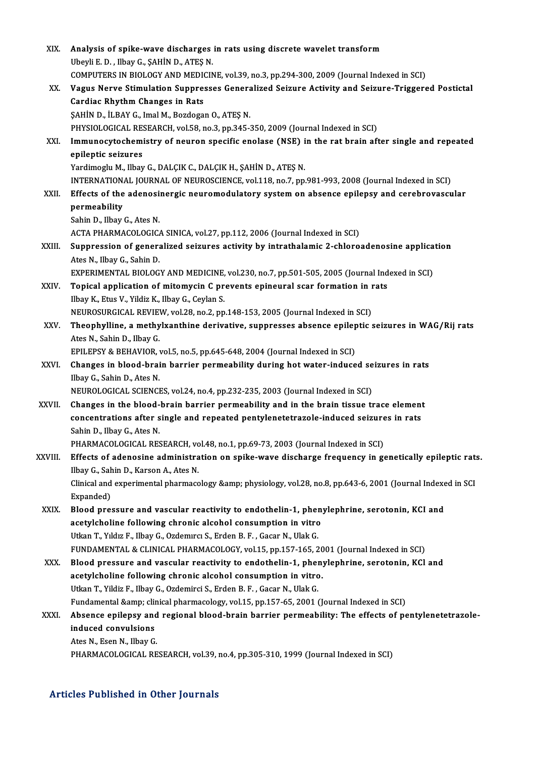| XIX.         | Analysis of spike-wave discharges in rats using discrete wavelet transform                                            |
|--------------|-----------------------------------------------------------------------------------------------------------------------|
|              | Ubeyli E. D., Ilbay G., ŞAHİN D., ATEŞ N.                                                                             |
|              | COMPUTERS IN BIOLOGY AND MEDICINE, vol.39, no.3, pp.294-300, 2009 (Journal Indexed in SCI)                            |
| XX.          | Vagus Nerve Stimulation Suppresses Generalized Seizure Activity and Seizure-Triggered Postictal                       |
|              | Cardiac Rhythm Changes in Rats                                                                                        |
|              | ŞAHİN D., İLBAY G., Imal M., Bozdogan O., ATEŞ N.                                                                     |
|              | PHYSIOLOGICAL RESEARCH, vol.58, no.3, pp.345-350, 2009 (Journal Indexed in SCI)                                       |
| XXI.         | Immunocytochemistry of neuron specific enolase (NSE) in the rat brain after single and repeated<br>epileptic seizures |
|              | Yardimoglu M., Ilbay G., DALÇIK C., DALÇIK H., ŞAHİN D., ATEŞ N.                                                      |
|              | INTERNATIONAL JOURNAL OF NEUROSCIENCE, vol.118, no.7, pp.981-993, 2008 (Journal Indexed in SCI)                       |
| XXII.        | Effects of the adenosinergic neuromodulatory system on absence epilepsy and cerebrovascular                           |
|              | permeability                                                                                                          |
|              | Sahin D., Ilbay G., Ates N.                                                                                           |
|              | ACTA PHARMACOLOGICA SINICA, vol.27, pp.112, 2006 (Journal Indexed in SCI)                                             |
| XXIII.       | Suppression of generalized seizures activity by intrathalamic 2-chloroadenosine application                           |
|              | Ates N., Ilbay G., Sahin D.                                                                                           |
|              | EXPERIMENTAL BIOLOGY AND MEDICINE, vol.230, no.7, pp.501-505, 2005 (Journal Indexed in SCI)                           |
| XXIV.        | Topical application of mitomycin C prevents epineural scar formation in rats                                          |
|              | Ilbay K., Etus V., Yildiz K., Ilbay G., Ceylan S.                                                                     |
|              | NEUROSURGICAL REVIEW, vol.28, no.2, pp.148-153, 2005 (Journal Indexed in SCI)                                         |
| XXV.         | Theophylline, a methylxanthine derivative, suppresses absence epileptic seizures in WAG/Rij rats                      |
|              | Ates N., Sahin D., Ilbay G.                                                                                           |
| <b>XXVI</b>  | EPILEPSY & BEHAVIOR, vol.5, no.5, pp.645-648, 2004 (Journal Indexed in SCI)                                           |
|              | Changes in blood-brain barrier permeability during hot water-induced seizures in rats                                 |
|              | Ilbay G., Sahin D., Ates N.                                                                                           |
|              | NEUROLOGICAL SCIENCES, vol.24, no.4, pp.232-235, 2003 (Journal Indexed in SCI)                                        |
| <b>XXVII</b> | Changes in the blood-brain barrier permeability and in the brain tissue trace element                                 |
|              | concentrations after single and repeated pentylenetetrazole-induced seizures in rats<br>Sahin D., Ilbay G., Ates N.   |
|              | PHARMACOLOGICAL RESEARCH, vol.48, no.1, pp.69-73, 2003 (Journal Indexed in SCI)                                       |
| XXVIII.      | Effects of adenosine administration on spike-wave discharge frequency in genetically epileptic rats.                  |
|              | Ilbay G., Sahin D., Karson A., Ates N.                                                                                |
|              | Clinical and experimental pharmacology & physiology, vol.28, no.8, pp.643-6, 2001 (Journal Indexed in SCI             |
|              | Expanded)                                                                                                             |
| XXIX.        | Blood pressure and vascular reactivity to endothelin-1, phenylephrine, serotonin, KCI and                             |
|              | acetylcholine following chronic alcohol consumption in vitro                                                          |
|              | Utkan T., Yıldız F., Ilbay G., Ozdemırcı S., Erden B. F., Gacar N., Ulak G.                                           |
|              | FUNDAMENTAL & CLINICAL PHARMACOLOGY, vol.15, pp.157-165, 2001 (Journal Indexed in SCI)                                |
| XXX.         | Blood pressure and vascular reactivity to endothelin-1, phenylephrine, serotonin, KCl and                             |
|              | acetylcholine following chronic alcohol consumption in vitro.                                                         |
|              | Utkan T., Yildiz F., Ilbay G., Ozdemirci S., Erden B. F., Gacar N., Ulak G.                                           |
|              | Fundamental & clinical pharmacology, vol.15, pp.157-65, 2001 (Journal Indexed in SCI)                                 |
| XXXI.        | Absence epilepsy and regional blood-brain barrier permeability: The effects of pentylenetetrazole-                    |
|              | induced convulsions                                                                                                   |
|              | Ates N., Esen N., Ilbay G.                                                                                            |
|              | PHARMACOLOGICAL RESEARCH, vol.39, no.4, pp.305-310, 1999 (Journal Indexed in SCI)                                     |
|              |                                                                                                                       |

# Articles Published in Other Journals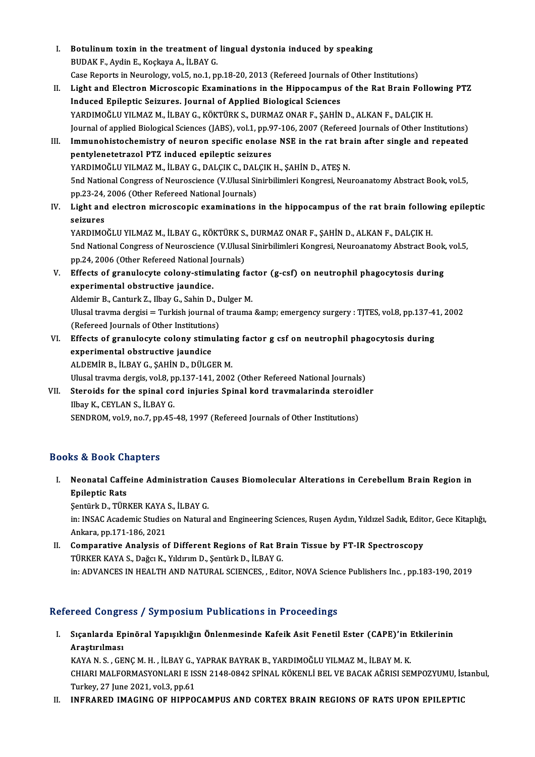- I. Botulinum toxin in the treatment of lingual dystonia induced by speaking<br>RUDAKE, Ardin E. Koskare A. H. BAX.C **Botulinum toxin in the treatment of<br>BUDAK F., Aydin E., Koçkaya A., İLBAY G.<br>Casa Banarta in Nauralagu, yal E. na 1. nu** Botulinum toxin in the treatment of lingual dystonia induced by speaking<br>BUDAK F., Aydin E., Koçkaya A., İLBAY G.<br>Case Reports in Neurology, vol.5, no.1, pp.18-20, 2013 (Refereed Journals of Other Institutions)<br>Light and E
- BUDAK F., Aydin E., Koçkaya A., İLBAY G.<br>Case Reports in Neurology, vol.5, no.1, pp.18-20, 2013 (Refereed Journals of Other Institutions)<br>II. Light and Electron Microscopic Examinations in the Hippocampus of the Rat Brain Case Reports in Neurology, vol.5, no.1, pp.18-20, 2013 (Refereed Journals<br>Light and Electron Microscopic Examinations in the Hippocampus<br>Induced Epileptic Seizures. Journal of Applied Biological Sciences<br>YAPDIMOČLU VILMAZ YARDIMOĞLU YILMAZ M., İLBAY G., KÖKTÜRK S., DURMAZ ONAR F., ŞAHİN D., ALKAN F., DALÇIK H. Induced Epileptic Seizures. Journal of Applied Biological Sciences<br>YARDIMOĞLU YILMAZ M., İLBAY G., KÖKTÜRK S., DURMAZ ONAR F., ŞAHİN D., ALKAN F., DALÇIK H.<br>Journal of applied Biological Sciences (JABS), vol.1, pp.97-106,
- III. Immunohistochemistry of neuron specific enolase NSE in the rat brain after single and repeated pentylenetetrazol PTZ induced epileptic seizures Journal of applied Biological Sciences (JABS), vol.1, pp.9<br>Immunohistochemistry of neuron specific enolase<br>pentylenetetrazol PTZ induced epileptic seizures<br>XARDIMOČLU VILMAZ M. İLRAY G. DALGIK G. DALGIK Immunohistochemistry of neuron specific enolase NSE in the rat brand pentylenetetrazol PTZ induced epileptic seizures<br>YARDIMOĞLU YILMAZ M., İLBAY G., DALÇIK C., DALÇIK H., ŞAHİN D., ATEŞ N.<br>End National Congress of Nouvess 5nd National Congress of Neuroscience (V.Ulusal Sinirbilimleri Kongresi, Neuroanatomy Abstract Book, vol.5, pp.23-24, 2006 (Other Refereed National Journals) YARDIMOĞLU YILMAZ M., İLBAY G., DALÇIK C., DAL<br>5nd National Congress of Neuroscience (V.Ulusal Si<br>pp.23-24, 2006 (Other Refereed National Journals)<br>Light and electron miarosconic examinations IV. Light and electron microscopic examinations in the hippocampus of the rat brain following epileptic<br>IV. Light and electron microscopic examinations in the hippocampus of the rat brain following epileptic<br>Coinunes
- pp.23-24,<br><mark>Light and</mark><br>seizures<br>v<u>appi</u>MO Light and electron microscopic examinations in the hippocampus of the rat brain follow<br>seizures<br>YARDIMOĞLU YILMAZ M., İLBAY G., KÖKTÜRK S., DURMAZ ONAR F., ŞAHİN D., ALKAN F., DALÇIK H.<br>End National Congress of Nouvessians

seizures<br>YARDIMOĞLU YILMAZ M., İLBAY G., KÖKTÜRK S., DURMAZ ONAR F., ŞAHİN D., ALKAN F., DALÇIK H.<br>5nd National Congress of Neuroscience (V.Ulusal Sinirbilimleri Kongresi, Neuroanatomy Abstract Book, vol.5,<br>pp.24, 2006 (Ot YARDIMOĞLU YILMAZ M., İLBAY G., KÖKTÜRK S.<br>5nd National Congress of Neuroscience (V.Ulusa<br>pp.24, 2006 (Other Refereed National Journals)<br>Effecte of granulogyte solony stimulating f 5nd National Congress of Neuroscience (V.Ulusal Sinirbilimleri Kongresi, Neuroanatomy Abstract Book,<br>pp.24, 2006 (Other Refereed National Journals)<br>V. Effects of granulocyte colony-stimulating factor (g-csf) on neutrophil

experimental obstructive jaundice. Effects of granulocyte colony-stimulating faces<br>experimental obstructive jaundice.<br>Aldemir B., Canturk Z., Ilbay G., Sahin D., Dulger M.<br>Wixel traume dergisi – Turkish jaunnal of traume

Ulusal travma dergisi = Turkish journal of trauma & emergency surgery : TJTES, vol.8, pp.137-41, 2002<br>(Refereed Journals of Other Institutions) Aldemir B., Canturk Z., Ilbay G., Sahin D., Dulger M. Ulusal travma dergisi = Turkish journal of trauma & emergency surgery : TJTES, vol.8, pp.137-4<br>(Refereed Journals of Other Institutions)<br>VI. Effects of granulocyte colony stimulating factor g csf on neutrophil phagocyt

- (Refereed Journals of Other Institutions)<br>Effects of granulocyte colony stime<br>experimental obstructive jaundice<br>ALDEMIR R. ILRAV G. SAHIN D. DÜLCI experimental obstructive jaundice<br>ALDEMİR B., İLBAY G., ŞAHİN D., DÜLGER M. experimental obstructive jaundice<br>ALDEMİR B., İLBAY G., ŞAHİN D., DÜLGER M.<br>Ulusal travma dergis, vol.8, pp.137-141, 2002 (Other Refereed National Journals)<br>Staraids for the spinal sord iniuries Spinal kord traumalarinda s
- VII. Steroids for the spinal cord injuries Spinal kord travmalarinda steroidler<br>Ilbay K., CEYLAN S., İLBAY G. Ulusal travma dergis, vol.8, p.<br>Steroids for the spinal co<br>Ilbay K., CEYLAN S., İLBAY G.<br>SENDROM, vol.9, p.o.7, p.o.45. SENDROM, vol.9, no.7, pp.45-48, 1997 (Refereed Journals of Other Institutions)

# Books&Book Chapters

ooks & Book Chapters<br>I. Neonatal Caffeine Administration Causes Biomolecular Alterations in Cerebellum Brain Region in<br>Reilentis Pets es & Book on<br>Neonatal Caffe<br>Epileptic Rats<br>Sentirk D. T<sup>im</sup> Neonatal Caffeine Administration<br>Epileptic Rats<br>Şentürk D., TÜRKER KAYA S., İLBAY G.<br>in: INSAC Academic Studies en Natural

Epileptic Rats<br>Şentürk D., TÜRKER KAYA S., İLBAY G.<br>in: INSAC Academic Studies on Natural and Engineering Sciences, Ruşen Aydın, Yıldızel Sadık, Editor, Gece Kitaplığı,<br>Ankara, pp.171-186, 2021 Şentürk D., TÜRKER KAYA<br>in: INSAC Academic Studies<br>Ankara, pp.171-186, 2021<br>Comparative Analysis ei

II. Comparative Analysis of Different Regions of Rat Brain Tissue by FT-IR Spectroscopy TÜRKER KAYA S., Dağcı K., Yıldırım D., Şentürk D., İLBAY G. in: ADVANCES IN HEALTH AND NATURAL SCIENCES, , Editor, NOVA Science Publishers Inc. , pp.183-190, 2019

# Refereed Congress / Symposium Publications in Proceedings

efereed Congress / Symposium Publications in Proceedings<br>I. Sıçanlarda Epinöral Yapışıklığın Önlenmesinde Kafeik Asit Fenetil Ester (CAPE)'in Etkilerinin<br>Anasturlması Arastı döngile<br>Sıçanlarda Ep<br>Araştırılması Sıçanlarda Epinöral Yapışıklığın Önlenmesinde Kafeik Asit Fenetil Ester (CAPE)'in l<br>Araştırılması<br>KAYA N.S., GENÇ M.H., İLBAY G., YAPRAK BAYRAK B., YARDIMOĞLU YILMAZ M., İLBAY M. K.<br>CHIARI MALEORMASYONI ARI E ISSN 2148 094

Araştırılması<br>KAYA N. S. , GENÇ M. H. , İLBAY G., YAPRAK BAYRAK B., YARDIMOĞLU YILMAZ M., İLBAY M. K.<br>CHIARI MALFORMASYONLARI E ISSN 2148-0842 SPİNAL KÖKENLİ BEL VE BACAK AĞRISI SEMPOZYUMU, İstanbul,<br>Turkay, 27 luna 2021 v KAYA N. S. , GENÇ M. H. , İLBAY G., YAPRAK BAYRAK B., YARDIMOĞLU YILMAZ M., İLBAY M. K.<br>CHIARI MALFORMASYONLARI E ISSN 2148-0842 SPİNAL KÖKENLİ BEL VE BACAK AĞRISI SEMPOZYUMU, İst<br>Turkey, 27 June 2021, vol.3, pp.61<br>II. CHIARI MALFORMASYONLARI E ISSN 2148-0842 SPİNAL KÖKENLİ BEL VE BACAK AĞRISI SEMPOZYUMU, İs<br>Turkey, 27 June 2021, vol.3, pp.61<br>II. INFRARED IMAGING OF HIPPOCAMPUS AND CORTEX BRAIN REGIONS OF RATS UPON EPILEPTIC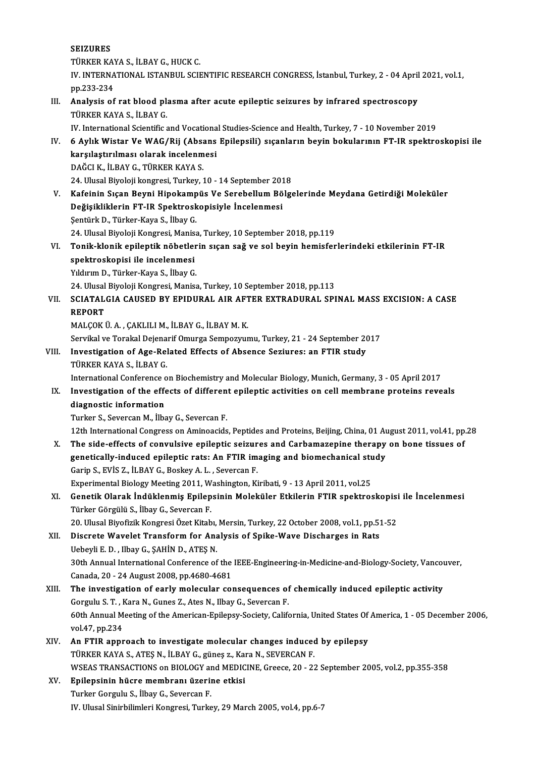## SEIZURES TÜRKERKAYAS., İLBAYG.,HUCKC. IV. INTERNATIONAL ISTANBUL SCIENTIFICRESEARCHCONGRESS, İstanbul,Turkey,2 -04April2021,vol.1, pp.233-234 IV. INTERNATIONAL ISTANBUL SCIENTIFIC RESEARCH CONGRESS, İstanbul, Turkey, 2 - 04 April<br>pp.233-234<br>III. Analysis of rat blood plasma after acute epileptic seizures by infrared spectroscopy<br>TÜRKER KAVA S. İLBAV C pp.233-234<br>Analysis of rat blood pl:<br>TÜRKER KAYA S., İLBAY G.<br>W. International Scientific ( Analysis of rat blood plasma after acute epileptic seizures by infrared spectroscopy<br>TÜRKER KAYA S., İLBAY G.<br>IV. International Scientific and Vocational Studies-Science and Health, Turkey, 7 - 10 November 2019<br>6 Aylık Wis TÜRKER KAYA S., İLBAY G.<br>IV. International Scientific and Vocational Studies-Science and Health, Turkey, 7 - 10 November 2019<br>IV. 6 Aylık Wistar Ve WAG/Rij (Absans Epilepsili) sıçanların beyin bokularının FT-IR spektro IV. International Scientific and Vocationa<br>6 Aylık Wistar Ve WAG/Rij (Absans<br>karşılaştırılması olarak incelenmesi<br>DAČCLK, İLBAYC, TÜRKER KAYA S 6 Aylık Wistar Ve WAG/Rij (Absa)<br>karşılaştırılması olarak incelenm<br>DAĞCI K., İLBAY G., TÜRKER KAYA S.<br>24 Husel Biyeleji kongresi Turkey 1 karşılaştırılması olarak incelenmesi<br>DAĞCI K., İLBAY G., TÜRKER KAYA S.<br>24. Ulusal Biyoloji kongresi, Turkey, 10 - 14 September 2018 V. Kafeinin Sıçan Beyni Hipokampüs Ve Serebellum Bölgelerinde Meydana Getirdiği Moleküler Değişikliklerin FT-IR Spektroskopisiyle İncelenmesi ŞentürkD.,Türker-Kaya S., İlbayG. Değişikliklerin FT-IR Spektroskopisiyle İncelenmesi<br>Şentürk D., Türker-Kaya S., İlbay G.<br>24. Ulusal Biyoloji Kongresi, Manisa, Turkey, 10 September 2018, pp.119<br>Tenik klenik enilentik nöhetlerin aven seğ ve sel beyin bemis Şentürk D., Türker-Kaya S., İlbay G.<br>24. Ulusal Biyoloji Kongresi, Manisa, Turkey, 10 September 2018, pp.119<br>VI. Tonik-klonik epileptik nöbetlerin sıçan sağ ve sol beyin hemisferlerindeki etkilerinin FT-IR<br>apektreskeni 24. Ulusal Biyoloji Kongresi, Manis<br><mark>Tonik-klonik epileptik nöbetle</mark>n<br>spektroskopisi ile incelenmesi<br><sup>Vilduum D. Türkor Kova S. İlbov G</sup> Tonik-klonik epileptik nöbetler<br>spektroskopisi ile incelenmesi<br>Yıldırım D., Türker-Kaya S., İlbay G.<br>24. Illucel Biyeleji Kongresi Maniss spektroskopisi ile incelenmesi<br>Yıldırım D., Türker-Kaya S., İlbay G.<br>24. Ulusal Biyoloji Kongresi, Manisa, Turkey, 10 September 2018, pp.113<br>SCIATALCIA GAUSED BV ERIDURAL AIR AETER EVTRADURAL SPI Yıldırım D., Türker-Kaya S., İlbay G.<br>24. Ulusal Biyoloji Kongresi, Manisa, Turkey, 10 September 2018, pp.113<br>VII. SCIATALGIA CAUSED BY EPIDURAL AIR AFTER EXTRADURAL SPINAL MASS EXCISION: A CASE 24. Ulusal<br>SCIATAL<br>REPORT<br>MALCOKI SCIATALGIA CAUSED BY EPIDURAL AIR AFT<br>REPORT<br>MALÇOK Ü. A. , ÇAKLILI M., İLBAY G., İLBAY M. K.<br>Servikal ve Tarakal Dejenarif Omurga Semnerunu REPORT<br>MALÇOK Ü. A. , ÇAKLILI M., İLBAY G., İLBAY M. K.<br>Servikal ve Torakal Dejenarif Omurga Sempozyumu, Turkey, 21 - 24 September 2017<br>Investigation of Age Pelated Effects of Absence Segiunes: an ETIP study. MALÇOK Ü. A. , ÇAKLILI M., İLBAY G., İLBAY M. K.<br>Servikal ve Torakal Dejenarif Omurga Sempozyumu, Turkey, 21 - 24 September 2<br>VIII. Investigation of Age-Related Effects of Absence Seziures: an FTIR study<br>TÜRKER KAYA S., İL Servikal ve Torakal Dejena<br>Investigation of Age-Rel<br>TÜRKER KAYA S., İLBAY G.<br>International Conference e International Conference on Biochemistry and Molecular Biology, Munich, Germany, 3 - 05 April 2017 TÜRKER KAYA S., İLBAY G.<br>International Conference on Biochemistry and Molecular Biology, Munich, Germany, 3 - 05 April 2017<br>IX. Investigation of the effects of different epileptic activities on cell membrane proteins revea International Conference<br>Investigation of the effection<br>diagnostic information<br>Turker S. Seversen M. <sup>ilho</sup> Investigation of the effects of differen<br>diagnostic information<br>Turker S., Severcan M., İlbay G., Severcan F.<br>12th International Congress on Aminoacide diagnostic information<br>Turker S., Severcan M., İlbay G., Severcan F.<br>12th International Congress on Aminoacids, Peptides and Proteins, Beijing, China, 01 August 2011, vol.41, pp.28 X. The side-effects of convulsive epileptic seizures and Carbamazepine therapy on bone tissues of 12th International Congress on Aminoacids, Peptides and Proteins, Beijing, China, 01 Au<br>The side-effects of convulsive epileptic seizures and Carbamazepine therapy<br>genetically-induced epileptic rats: An FTIR imaging and bi The side-effects of convulsive epileptic seizur<br>genetically-induced epileptic rats: An FTIR im<br>Garip S., EVIS Z., İLBAY G., Boskey A.L. , Severcan F.<br>Evnerimental Biology Meeting 2011 Weebington Vi genetically-induced epileptic rats: An FTIR imaging and biomechanical studies<br>Farip S., EVIS Z., İLBAY G., Boskey A. L. , Severcan F.<br>Experimental Biology Meeting 2011, Washington, Kiribati, 9 - 13 April 2011, vol.25<br>Const Garip S., EVİS Z., İLBAY G., Boskey A. L. , Severcan F.<br>Experimental Biology Meeting 2011, Washington, Kiribati, 9 - 13 April 2011, vol.25<br>XI. Genetik Olarak İndüklenmiş Epilepsinin Moleküler Etkilerin FTIR spektroskopisi Experimental Biology Meeting 2011, W<br>Genetik Olarak İndüklenmiş Epilep<br>Türker Görgülü S., İlbay G., Severcan F.<br>20. Illuasl Biyefirik Kangresi Öret Kitab Genetik Olarak İndüklenmiş Epilepsinin Moleküler Etkilerin FTIR spektroskopisi<br>Türker Görgülü S., İlbay G., Severcan F.<br>20. Ulusal Biyofizik Kongresi Özet Kitabı, Mersin, Turkey, 22 October 2008, vol.1, pp.51-52<br>Diserete W Türker Görgülü S., İlbay G., Severcan F.<br>20. Ulusal Biyofizik Kongresi Özet Kitabı, Mersin, Turkey, 22 October 2008, vol.1, pp.5:<br>XII. Discrete Wavelet Transform for Analysis of Spike-Wave Discharges in Rats<br>Ushayli E. 20. Ulusal Biyofizik Kongresi Özet Kitabı,<br>Discrete Wavelet Transform for Ana<br>Uebeyli E. D. , Ilbay G., ŞAHİN D., ATEŞ N.<br>20th Annual International Conference of Uebeyli E. D., Ilbay G., ŞAHİN D., ATEŞ N.<br>30th Annual International Conference of the IEEE-Engineering-in-Medicine-and-Biology-Society, Vancouver, Canada,20 -24August2008,pp.4680-4681 30th Annual International Conference of the IEEE-Engineering-in-Medicine-and-Biology-Society, Vancou<br>Canada, 20 - 24 August 2008, pp.4680-4681<br>XIII. The investigation of early molecular consequences of chemically induced e Canada, 20 - 24 August 2008, pp.4680-4681<br>The investigation of early molecular consequences of<br>Gorgulu S. T. , Kara N., Gunes Z., Ates N., Ilbay G., Severcan F.<br>60th Annual Meeting of the American Eniloney Seciety Calif 60th Annual Meeting of the American-Epilepsy-Society, California, United States Of America, 1 - 05 December 2006, vol.47, pp.234 Gorgulu S. T., Kara N., Gunes Z., Ates N., Ilbay G., Severcan F. XIV. An FTIR approach to investigate molecular changes induced by epilepsy vol.47, pp.234<br>An FTIR approach to investigate molecular changes induced<br>TÜRKER KAYA S., ATEŞ N., İLBAY G., güneş z., Kara N., SEVERCAN F.<br>WSEAS TRANSACTIONS on PJOLOCY and MEDICINE Creess 20, ...? An FTIR approach to investigate molecular changes induced by epilepsy<br>TÜRKER KAYA S., ATEŞ N., İLBAY G., güneş z., Kara N., SEVERCAN F.<br>WSEAS TRANSACTIONS on BIOLOGY and MEDICINE, Greece, 20 - 22 September 2005, vol.2, pp. TÜRKER KAYA S., ATEŞ N., İLBAY G., güneş z., Kai<br>WSEAS TRANSACTIONS on BIOLOGY and MEDIC<br>XV. Epilepsinin hücre membranı üzerine etkisi<br>Turkon Corsulu S. İlbay G. Sayanaan E WSEAS TRANSACTIONS on BIOLOGY an<br><mark>Epilepsinin hücre membranı üzeri</mark><br>Turker Gorgulu S., İlbay G., Severcan F.<br>IV. Ulugal Sininbilimləni Kongresi Turka Epilepsinin hücre membranı üzerine etkisi<br>Turker Gorgulu S., İlbay G., Severcan F.<br>IV. Ulusal Sinirbilimleri Kongresi, Turkey, 29 March 2005, vol.4, pp.6-7